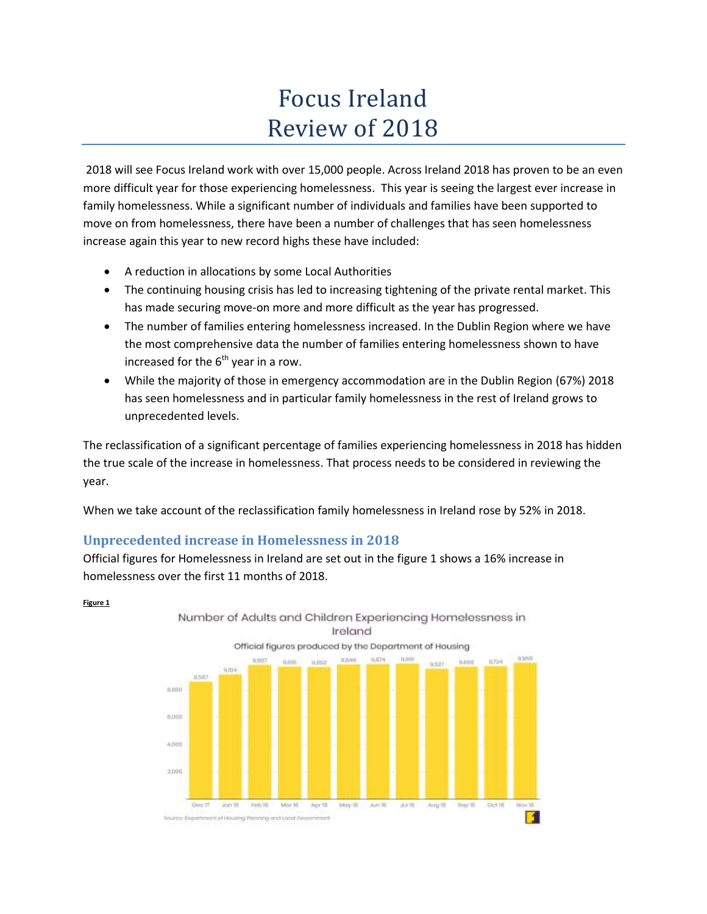# Focus Ireland Review of 2018

2018 will see Focus Ireland work with over 15,000 people. Across Ireland 2018 has proven to be an even more difficult year for those experiencing homelessness. This year is seeing the largest ever increase in family homelessness. While a significant number of individuals and families have been supported to move on from homelessness, there have been a number of challenges that has seen homelessness increase again this year to new record highs these have included:

- A reduction in allocations by some Local Authorities
- The continuing housing crisis has led to increasing tightening of the private rental market. This has made securing move-on more and more difficult as the year has progressed.
- The number of families entering homelessness increased. In the Dublin Region where we have the most comprehensive data the number of families entering homelessness shown to have increased for the  $6<sup>th</sup>$  year in a row.
- While the majority of those in emergency accommodation are in the Dublin Region (67%) 2018 has seen homelessness and in particular family homelessness in the rest of Ireland grows to unprecedented levels.

The reclassification of a significant percentage of families experiencing homelessness in 2018 has hidden the true scale of the increase in homelessness. That process needs to be considered in reviewing the year.

When we take account of the reclassification family homelessness in Ireland rose by 52% in 2018.

## **Unprecedented increase in Homelessness in 2018**

Official figures for Homelessness in Ireland are set out in the figure 1 shows a 16% increase in homelessness over the first 11 months of 2018.



#### **Figure 1**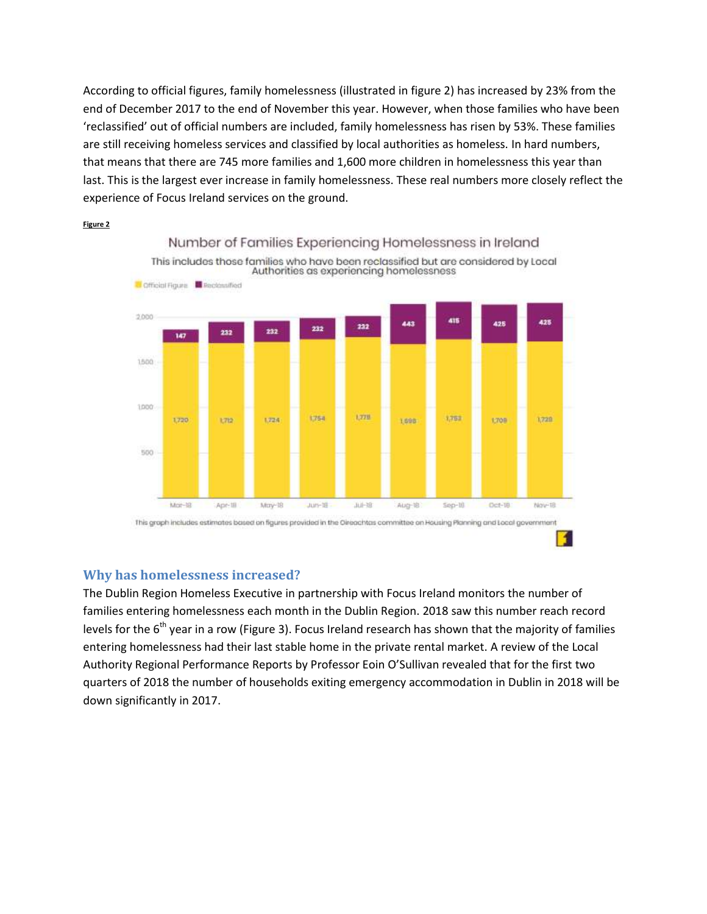According to official figures, family homelessness (illustrated in figure 2) has increased by 23% from the end of December 2017 to the end of November this year. However, when those families who have been 'reclassified' out of official numbers are included, family homelessness has risen by 53%. These families are still receiving homeless services and classified by local authorities as homeless. In hard numbers, that means that there are 745 more families and 1,600 more children in homelessness this year than last. This is the largest ever increase in family homelessness. These real numbers more closely reflect the experience of Focus Ireland services on the ground.



#### **Figure 2**

### **Why has homelessness increased?**

The Dublin Region Homeless Executive in partnership with Focus Ireland monitors the number of families entering homelessness each month in the Dublin Region. 2018 saw this number reach record levels for the  $6<sup>th</sup>$  year in a row (Figure 3). Focus Ireland research has shown that the majority of families entering homelessness had their last stable home in the private rental market. A review of the Local Authority Regional Performance Reports by Professor Eoin O'Sullivan revealed that for the first two quarters of 2018 the number of households exiting emergency accommodation in Dublin in 2018 will be down significantly in 2017.